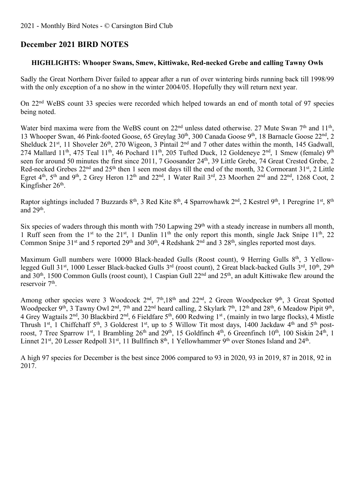# **December 2021 BIRD NOTES**

# **HIGHLIGHTS: Whooper Swans, Smew, Kittiwake, Red-necked Grebe and calling Tawny Owls**

Sadly the Great Northern Diver failed to appear after a run of over wintering birds running back till 1998/99 with the only exception of a no show in the winter 2004/05. Hopefully they will return next year.

On 22nd WeBS count 33 species were recorded which helped towards an end of month total of 97 species being noted.

Water bird maxima were from the WeBS count on 22<sup>nd</sup> unless dated otherwise. 27 Mute Swan 7<sup>th</sup> and 11<sup>th</sup>, 13 Whooper Swan, 46 Pink-footed Goose, 65 Greylag 30<sup>th</sup>, 300 Canada Goose 9<sup>th</sup>, 18 Barnacle Goose 22<sup>nd</sup>, 2 Shelduck 21<sup>st</sup>, 11 Shoveler 26<sup>th</sup>, 270 Wigeon, 3 Pintail 2<sup>nd</sup> and 7 other dates within the month, 145 Gadwall, 274 Mallard 11<sup>th</sup>, 475 Teal 11<sup>th</sup>, 46 Pochard 11<sup>th</sup>, 205 Tufted Duck, 12 Goldeneye 2<sup>nd</sup>, 1 Smew (female) 9<sup>th</sup> seen for around 50 minutes the first since 2011, 7 Goosander 24<sup>th</sup>, 39 Little Grebe, 74 Great Crested Grebe, 2 Red-necked Grebes 22<sup>nd</sup> and 25<sup>th</sup> then 1 seen most days till the end of the month, 32 Cormorant 31<sup>st</sup>, 2 Little Egret 4<sup>th</sup>, 5<sup>th</sup> and 9<sup>th</sup>, 2 Grey Heron 12<sup>th</sup> and 22<sup>nd</sup>, 1 Water Rail 3<sup>rd</sup>, 23 Moorhen 2<sup>nd</sup> and 22<sup>nd</sup>, 1268 Coot, 2 Kingfisher 26<sup>th</sup>.

Raptor sightings included 7 Buzzards 8<sup>th</sup>, 3 Red Kite 8<sup>th</sup>, 4 Sparrowhawk 2<sup>nd</sup>, 2 Kestrel 9<sup>th</sup>, 1 Peregrine 1<sup>st</sup>, 8<sup>th</sup> and  $29<sup>th</sup>$ .

Six species of waders through this month with 750 Lapwing 29<sup>th</sup> with a steady increase in numbers all month, 1 Ruff seen from the 1<sup>st</sup> to the 21<sup>st</sup>, 1 Dunlin 11<sup>th</sup> the only report this month, single Jack Snipe 11<sup>th</sup>, 22 Common Snipe 31<sup>st</sup> and 5 reported 29<sup>th</sup> and 30<sup>th</sup>, 4 Redshank 2<sup>nd</sup> and 3 28<sup>th</sup>, singles reported most days.

Maximum Gull numbers were 10000 Black-headed Gulls (Roost count), 9 Herring Gulls 8<sup>th</sup>, 3 Yellowlegged Gull 31<sup>st</sup>, 1000 Lesser Black-backed Gulls 3<sup>rd</sup> (roost count), 2 Great black-backed Gulls 3<sup>rd</sup>, 10<sup>th</sup>, 29<sup>th</sup> and 30<sup>th</sup>, 1500 Common Gulls (roost count), 1 Caspian Gull 22<sup>nd</sup> and 25<sup>th</sup>, an adult Kittiwake flew around the reservoir 7<sup>th</sup>.

Among other species were 3 Woodcock 2<sup>nd</sup>, 7<sup>th</sup>,18<sup>th</sup> and 22<sup>nd</sup>, 2 Green Woodpecker 9<sup>th</sup>, 3 Great Spotted Woodpecker 9th, 3 Tawny Owl 2<sup>nd</sup>, 7<sup>th</sup> and 22<sup>nd</sup> heard calling, 2 Skylark 7<sup>th</sup>, 12<sup>th</sup> and 28<sup>th</sup>, 6 Meadow Pipit 9<sup>th</sup>, 4 Grey Wagtails 2nd, 30 Blackbird 2nd, 6 Fieldfare 5th, 600 Redwing 1st , (mainly in two large flocks), 4 Mistle Thrush 1<sup>st</sup>, 1 Chiffchaff 5<sup>th</sup>, 3 Goldcrest 1<sup>st</sup>, up to 5 Willow Tit most days, 1400 Jackdaw 4<sup>th</sup> and 5<sup>th</sup> postroost, 7 Tree Sparrow 1st, 1 Brambling 26<sup>th</sup> and 29<sup>th</sup>, 15 Goldfinch 4<sup>th</sup>, 6 Greenfinch 10<sup>th</sup>, 100 Siskin 24<sup>th</sup>, 1 Linnet 21<sup>st</sup>, 20 Lesser Redpoll 31<sup>st</sup>, 11 Bullfinch  $8<sup>th</sup>$ , 1 Yellowhammer 9<sup>th</sup> over Stones Island and 24<sup>th</sup>.

A high 97 species for December is the best since 2006 compared to 93 in 2020, 93 in 2019, 87 in 2018, 92 in 2017.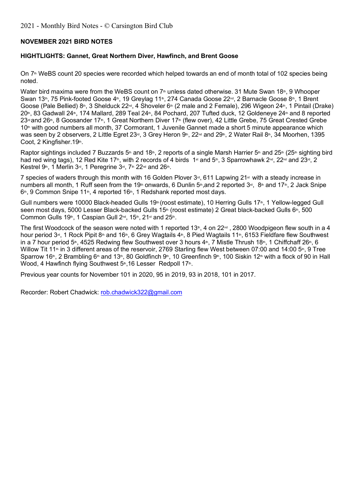# **NOVEMBER 2021 BIRD NOTES**

#### **HIGHTLIGHTS: Gannet, Great Northern Diver, Hawfinch, and Brent Goose**

On 7<sup>th</sup> WeBS count 20 species were recorded which helped towards an end of month total of 102 species being noted.

Water bird maxima were from the WeBS count on  $7<sup>th</sup>$  unless dated otherwise. 31 Mute Swan 18<sup>th</sup>, 9 Whooper Swan 13th, 75 Pink-footed Goose 4th, 19 Greylag 11th, 274 Canada Goose 22<sup>nd</sup>, 2 Barnacle Goose 8th, 1 Brent Goose (Pale Bellied) 8<sup>th</sup>, 3 Shelduck 22<sup>nd</sup>, 4 Shoveler 6<sup>th</sup> (2 male and 2 Female), 296 Wigeon 24<sup>th</sup>, 1 Pintail (Drake) 20<sup>th</sup>, 83 Gadwall 24<sup>th</sup>, 174 Mallard, 289 Teal 24<sup>th</sup>, 84 Pochard, 207 Tufted duck, 12 Goldeneye 24<sup>th</sup> and 8 reported 23<sup>rd</sup> and 26<sup>th</sup>, 8 Goosander 17<sup>th</sup>, 1 Great Northern Diver 17<sup>th</sup> (flew over), 42 Little Grebe, 75 Great Crested Grebe  $10<sup>th</sup>$  with good numbers all month, 37 Cormorant, 1 Juvenile Gannet made a short 5 minute appearance which was seen by 2 observers, 2 Little Egret 23<sup>rd</sup>, 3 Grey Heron 9th, 22<sup>nd</sup> and 29th, 2 Water Rail 8th, 34 Moorhen, 1395 Coot, 2 Kingfisher.19th.

Raptor sightings included 7 Buzzards 5<sup>th</sup> and 18<sup>th</sup>, 2 reports of a single Marsh Harrier 5<sup>th</sup> and 25<sup>th</sup> (25<sup>th</sup> sighting bird had red wing tags), 12 Red Kite 17<sup>th</sup>, with 2 records of 4 birds 1<sup>st</sup> and 5<sup>th</sup>, 3 Sparrowhawk 2<sup>nd</sup>, 22<sup>nd</sup> and 23<sup>nd</sup>, 2 Kestrel 9th, 1 Merlin 3rd, 1 Peregrine 3rd, 7th 22nd and 26th.

7 species of waders through this month with 16 Golden Plover  $3<sup>d</sup>$ , 611 Lapwing 21<sup>st</sup> with a steady increase in numbers all month, 1 Ruff seen from the 19<sup>th</sup> onwards, 6 Dunlin 5th,and 2 reported 3<sup>rd</sup>, 8th and 17th, 2 Jack Snipe  $6<sup>th</sup>$ , 9 Common Snipe 11<sup>th</sup>, 4 reported 16<sup>th</sup>, 1 Redshank reported most days.

Gull numbers were 10000 Black-headed Gulls 19<sup>th</sup> (roost estimate), 10 Herring Gulls 17<sup>th</sup>, 1 Yellow-legged Gull seen most days, 5000 Lesser Black-backed Gulls 15<sup>th</sup> (roost estimate) 2 Great black-backed Gulls 6<sup>th</sup>, 500 Common Gulls 19<sup>th</sup>, 1 Caspian Gull 2<sup>nd</sup>, 15<sup>th</sup>, 21<sup>st</sup> and 25<sup>th</sup>.

The first Woodcock of the season were noted with 1 reported 13<sup>th</sup>, 4 on 22<sup>nd</sup>, 2800 Woodpigeon flew south in a 4 hour period 3<sup>rd</sup>, 1 Rock Pipit 8<sup>th</sup> and 16<sup>th</sup>, 6 Grey Wagtails 4<sup>th</sup>, 8 Pied Wagtails 11<sup>th</sup>, 6153 Fieldfare flew Southwest in a 7 hour period 5<sup>th</sup>, 4525 Redwing flew Southwest over 3 hours 4<sup>th</sup>, 7 Mistle Thrush 18<sup>th</sup>, 1 Chiffchaff 26<sup>th</sup>, 6 Willow Tit 11<sup>th</sup> in 3 different areas of the reservoir, 2769 Starling flew West between 07:00 and 14:00 5<sup>th</sup>, 9 Tree Sparrow 16<sup>th</sup>, 2 Brambling 6<sup>th</sup> and 13<sup>th</sup>, 80 Goldfinch 9<sup>th</sup>, 10 Greenfinch 9<sup>th</sup>, 100 Siskin 12<sup>th</sup> with a flock of 90 in Hall Wood, 4 Hawfinch flying Southwest  $5<sup>th</sup>$ , 16 Lesser Redpoll 17<sup>th</sup>.

Previous year counts for November 101 in 2020, 95 in 2019, 93 in 2018, 101 in 2017.

Recorder: Robert Chadwick: rob.chadwick322@gmail.com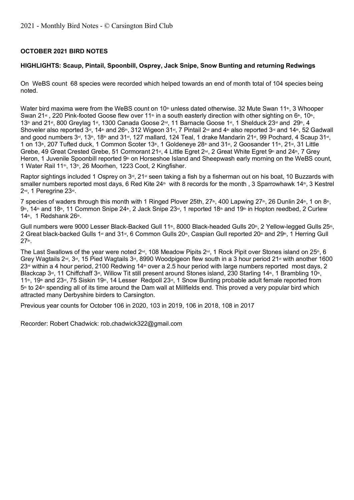# **OCTOBER 2021 BIRD NOTES**

#### **HIGHLIGHTS: Scaup, Pintail, Spoonbill, Osprey, Jack Snipe, Snow Bunting and returning Redwings**

On WeBS count 68 species were recorded which helped towards an end of month total of 104 species being noted.

Water bird maxima were from the WeBS count on  $10<sup>th</sup>$  unless dated otherwise. 32 Mute Swan 11<sup>th</sup>, 3 Whooper Swan 21<sup>st</sup>, 220 Pink-footed Goose flew over 11<sup>th</sup> in a south easterly direction with other sighting on 6<sup>th</sup>, 10<sup>th</sup>, 13th and 21st, 800 Greylag 1st, 1300 Canada Goose 2<sup>nd</sup>, 11 Barnacle Goose 1st, 1 Shelduck 23<sup>rd</sup> and 29th, 4 Shoveler also reported  $3\pi$ , 14<sup>th</sup> and 26<sup>th</sup>, 312 Wigeon 31<sup>st</sup>, 7 Pintail 2<sup>nd</sup> and 4<sup>th</sup> also reported 3<sup>rd</sup> and 14<sup>th</sup>, 52 Gadwall and good numbers 3<sup>rd</sup>, 13<sup>th</sup>, 18<sup>th</sup> and 31<sup>st</sup>, 127 mallard, 124 Teal, 1 drake Mandarin 21<sup>st</sup>, 99 Pochard, 4 Scaup 31<sup>st</sup>, 1 on 13<sup>th</sup>, 207 Tufted duck, 1 Common Scoter 13<sup>th</sup>, 1 Goldeneye 28<sup>th</sup> and 31<sup>st</sup>, 2 Goosander 11<sup>th</sup>, 21<sup>st</sup>, 31 Little Grebe, 49 Great Crested Grebe, 51 Cormorant 21st, 4 Little Egret 2<sup>nd</sup>, 2 Great White Egret 9th and 24th, 7 Grey Heron, 1 Juvenile Spoonbill reported 9<sup>th</sup> on Horseshoe Island and Sheepwash early morning on the WeBS count, 1 Water Rail 11<sup>th</sup>, 13<sup>th</sup>, 26 Moorhen, 1223 Coot, 2 Kingfisher.

Raptor sightings included 1 Osprey on 3<sup>rd</sup>, 21<sup>st</sup> seen taking a fish by a fisherman out on his boat, 10 Buzzards with smaller numbers reported most days, 6 Red Kite  $24<sup>th</sup>$  with 8 records for the month , 3 Sparrowhawk 14 $<sup>th</sup>$ , 3 Kestrel</sup> 2<sup>nd</sup>, 1 Peregrine 23<sup>rd</sup>.

7 species of waders through this month with 1 Ringed Plover 25th,  $27<sup>th</sup>$ , 400 Lapwing  $27<sup>th</sup>$ , 26 Dunlin  $24<sup>th</sup>$ , 1 on  $8<sup>th</sup>$ .  $9$ th, 14th and 18th, 11 Common Snipe 24th, 2 Jack Snipe 23rd, 1 reported 18th and 19th in Hopton reedbed, 2 Curlew  $14<sup>th</sup>$ , 1 Redshank 26<sup>th</sup>.

Gull numbers were 9000 Lesser Black-Backed Gull 11<sup>th</sup>, 8000 Black-headed Gulls 20<sup>th</sup>, 2 Yellow-legged Gulls 25<sup>th</sup>, 2 Great black-backed Gulls 1st and 31st, 6 Common Gulls  $20^{\text{th}}$ , Caspian Gull reported  $20^{\text{th}}$  and  $29^{\text{th}}$ , 1 Herring Gull 27th.

The Last Swallows of the year were noted 2<sup>nd</sup>, 108 Meadow Pipits 2<sup>nd</sup>, 1 Rock Pipit over Stones island on 25<sup>th</sup>, 6 Grey Wagtails 2<sup>nd</sup>, 3<sup>rd</sup>, 15 Pied Wagtails 3<sup>rd</sup>, 8990 Woodpigeon flew south in a 3 hour period 21<sup>st</sup> with another 1600  $23<sup>d</sup>$  within a 4 hour period, 2100 Redwing 14<sup>th</sup> over a 2.5 hour period with large numbers reported most days, 2 Blackcap 3<sup>rd</sup>, 11 Chiffchaff 3<sup>rd</sup>, Willow Tit still present around Stones island, 230 Starling 14<sup>th</sup>, 1 Brambling 10<sup>th</sup>, 11<sup>th</sup>, 19<sup>th</sup> and 23<sup>rd</sup>, 75 Siskin 19<sup>th</sup>, 14 Lesser Redpoll 23<sup>rd</sup>, 1 Snow Bunting probable adult female reported from 5<sup>th</sup> to 24<sup>th</sup> spending all of its time around the Dam wall at Millfields end. This proved a very popular bird which attracted many Derbyshire birders to Carsington.

Previous year counts for October 106 in 2020, 103 in 2019, 106 in 2018, 108 in 2017

Recorder: Robert Chadwick: rob.chadwick322@gmail.com